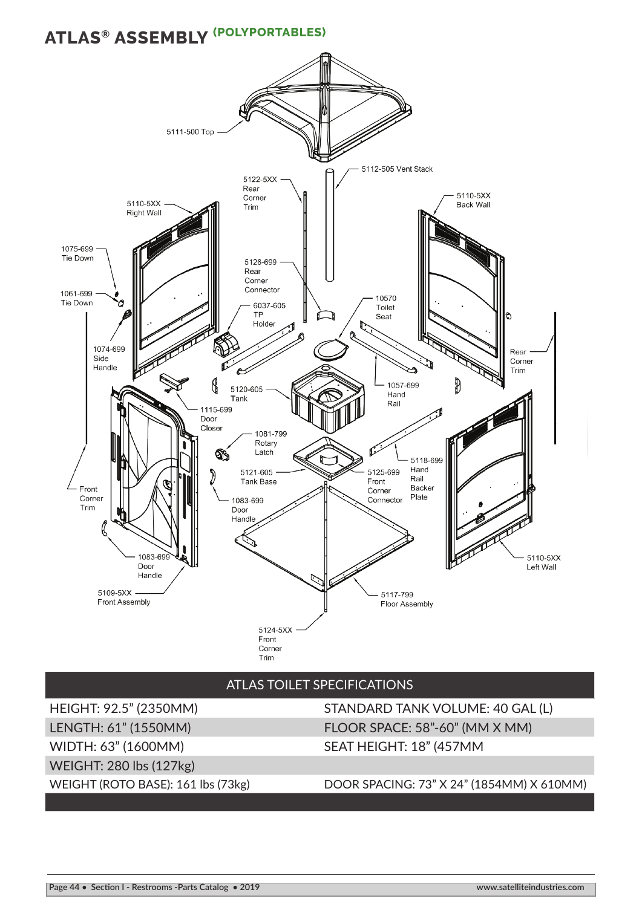## **ATLAS® ASSEMBLY (POLYPORTABLES)**



## ATLAS TOILET SPECIFICATIONS

WIDTH: 63" (1600MM) SEAT HEIGHT: 18" (457MM WEIGHT: 280 lbs (127kg)

HEIGHT: 92.5" (2350MM) STANDARD TANK VOLUME: 40 GAL (L) LENGTH: 61" (1550MM) FLOOR SPACE: 58"-60" (MM X MM)

WEIGHT (ROTO BASE): 161 lbs (73kg) DOOR SPACING: 73" X 24" (1854MM) X 610MM)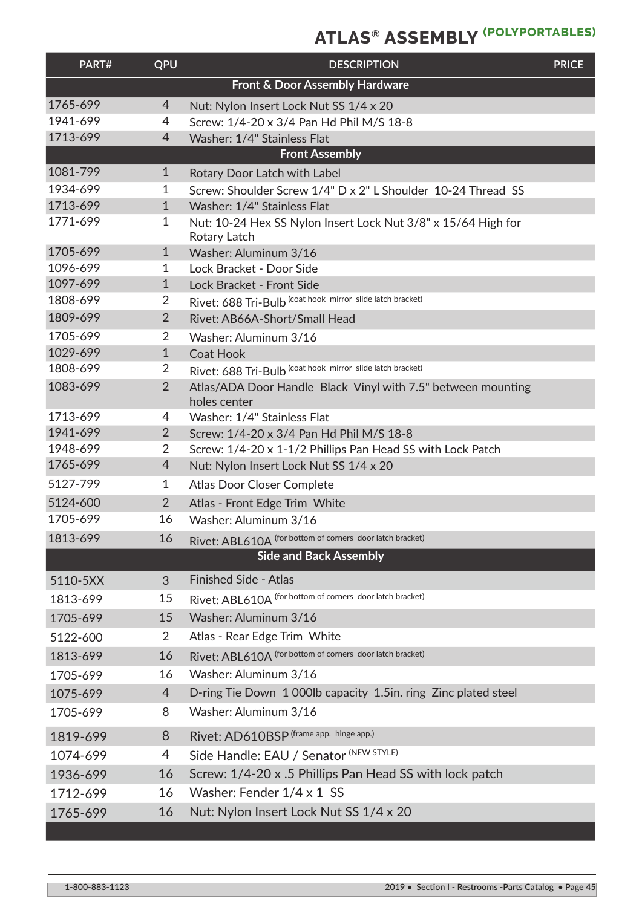## **ATLAS® ASSEMBLY (POLYPORTABLES)**

| PART#                          | QPU            | <b>DESCRIPTION</b>                                                            | <b>PRICE</b> |  |  |  |
|--------------------------------|----------------|-------------------------------------------------------------------------------|--------------|--|--|--|
| Front & Door Assembly Hardware |                |                                                                               |              |  |  |  |
| 1765-699                       | $\overline{4}$ | Nut: Nylon Insert Lock Nut SS 1/4 x 20                                        |              |  |  |  |
| 1941-699                       | 4              | Screw: 1/4-20 x 3/4 Pan Hd Phil M/S 18-8                                      |              |  |  |  |
| 1713-699                       | 4              | Washer: 1/4" Stainless Flat                                                   |              |  |  |  |
| <b>Front Assembly</b>          |                |                                                                               |              |  |  |  |
| 1081-799                       | $\mathbf{1}$   | <b>Rotary Door Latch with Label</b>                                           |              |  |  |  |
| 1934-699                       | 1              | Screw: Shoulder Screw 1/4" D x 2" L Shoulder 10-24 Thread SS                  |              |  |  |  |
| 1713-699                       | $\mathbf{1}$   | Washer: 1/4" Stainless Flat                                                   |              |  |  |  |
| 1771-699                       | 1              | Nut: 10-24 Hex SS Nylon Insert Lock Nut 3/8" x 15/64 High for<br>Rotary Latch |              |  |  |  |
| 1705-699                       | $\mathbf{1}$   | Washer: Aluminum 3/16                                                         |              |  |  |  |
| 1096-699                       | 1              | Lock Bracket - Door Side                                                      |              |  |  |  |
| 1097-699                       | $\mathbf{1}$   | Lock Bracket - Front Side                                                     |              |  |  |  |
| 1808-699                       | $\overline{2}$ | Rivet: 688 Tri-Bulb (coat hook mirror slide latch bracket)                    |              |  |  |  |
| 1809-699                       | $\overline{2}$ | Rivet: AB66A-Short/Small Head                                                 |              |  |  |  |
| 1705-699                       | 2              | Washer: Aluminum 3/16                                                         |              |  |  |  |
| 1029-699                       | $\mathbf{1}$   | <b>Coat Hook</b>                                                              |              |  |  |  |
| 1808-699                       | 2              | Rivet: 688 Tri-Bulb (coat hook mirror slide latch bracket)                    |              |  |  |  |
| 1083-699                       | $\overline{2}$ | Atlas/ADA Door Handle Black Vinyl with 7.5" between mounting<br>holes center  |              |  |  |  |
| 1713-699                       | 4              | Washer: 1/4" Stainless Flat                                                   |              |  |  |  |
| 1941-699                       | $\overline{2}$ | Screw: 1/4-20 x 3/4 Pan Hd Phil M/S 18-8                                      |              |  |  |  |
| 1948-699                       | $\overline{2}$ | Screw: 1/4-20 x 1-1/2 Phillips Pan Head SS with Lock Patch                    |              |  |  |  |
| 1765-699                       | $\overline{4}$ | Nut: Nylon Insert Lock Nut SS 1/4 x 20                                        |              |  |  |  |
| 5127-799                       | $\mathbf{1}$   | <b>Atlas Door Closer Complete</b>                                             |              |  |  |  |
| 5124-600                       | $\overline{2}$ | Atlas - Front Edge Trim White                                                 |              |  |  |  |
| 1705-699                       | 16             | Washer: Aluminum 3/16                                                         |              |  |  |  |
| 1813-699                       | 16             | Rivet: ABL610A (for bottom of corners door latch bracket)                     |              |  |  |  |
|                                |                | <b>Side and Back Assembly</b>                                                 |              |  |  |  |
| 5110-5XX                       | 3              | <b>Finished Side - Atlas</b>                                                  |              |  |  |  |
| 1813-699                       | 15             | Rivet: ABL610A (for bottom of corners door latch bracket)                     |              |  |  |  |
| 1705-699                       | 15             | Washer: Aluminum 3/16                                                         |              |  |  |  |
| 5122-600                       | $\overline{2}$ | Atlas - Rear Edge Trim White                                                  |              |  |  |  |
| 1813-699                       | 16             | Rivet: ABL610A (for bottom of corners door latch bracket)                     |              |  |  |  |
| 1705-699                       | 16             | Washer: Aluminum 3/16                                                         |              |  |  |  |
| 1075-699                       | 4              | D-ring Tie Down 1 000lb capacity 1.5in. ring Zinc plated steel                |              |  |  |  |
| 1705-699                       | 8              | Washer: Aluminum 3/16                                                         |              |  |  |  |
| 1819-699                       | 8              | Rivet: AD610BSP (frame app. hinge app.)                                       |              |  |  |  |
| 1074-699                       | 4              | Side Handle: EAU / Senator (NEW STYLE)                                        |              |  |  |  |
| 1936-699                       | 16             | Screw: 1/4-20 x .5 Phillips Pan Head SS with lock patch                       |              |  |  |  |
| 1712-699                       | 16             | Washer: Fender 1/4 x 1 SS                                                     |              |  |  |  |
| 1765-699                       | 16             | Nut: Nylon Insert Lock Nut SS 1/4 x 20                                        |              |  |  |  |
|                                |                |                                                                               |              |  |  |  |